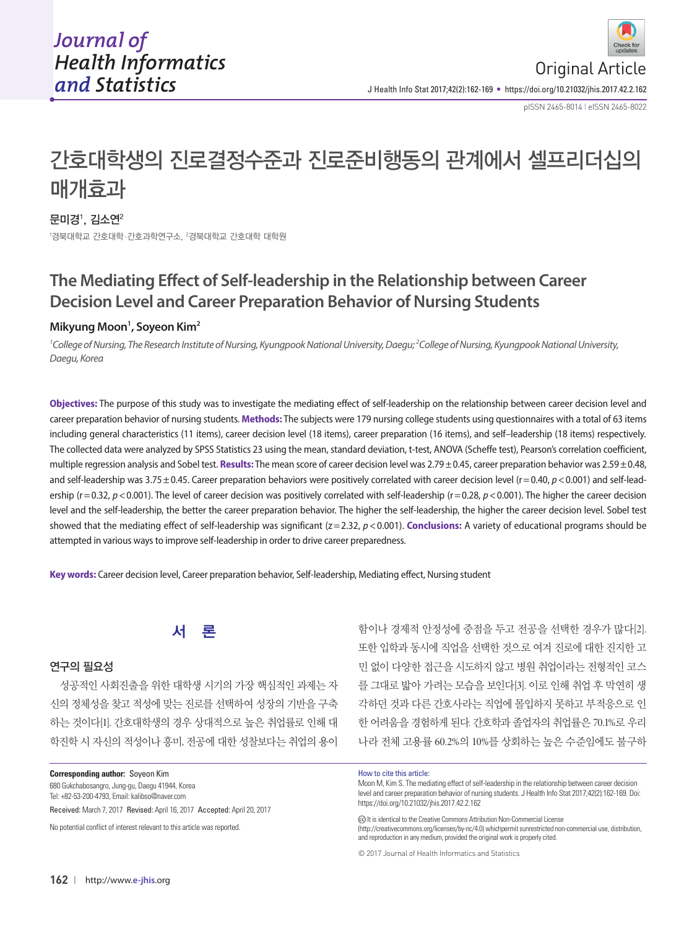pISSN 2465-8014 **|** eISSN 2465-8022

# 간호대학생의 진로결정수준과 진로준비행동의 관계에서 셀프리더십의 매개효과

# 문미경 $^{\rm l}$ , 김소연 $^{\rm 2}$

<sup>1</sup>경북대학교 간호대학·간호과학연구소, <sup>2</sup>경북대학교 간호대학 대학원

# **The Mediating Effect of Self-leadership in the Relationship between Career Decision Level and Career Preparation Behavior of Nursing Students**

# **Mikyung Moon1 , Soyeon Kim2**

*1 College of Nursing, The Research Institute of Nursing, Kyungpook National University, Daegu; 2 College of Nursing, Kyungpook National University, Daegu, Korea* 

**Objectives:** The purpose of this study was to investigate the mediating effect of self-leadership on the relationship between career decision level and career preparation behavior of nursing students. **Methods:** The subjects were 179 nursing college students using questionnaires with a total of 63 items including general characteristics (11 items), career decision level (18 items), career preparation (16 items), and self–leadership (18 items) respectively. The collected data were analyzed by SPSS Statistics 23 using the mean, standard deviation, t-test, ANOVA (Scheffe test), Pearson's correlation coefficient, multiple regression analysis and Sobel test. **Results:** The mean score of career decision level was 2.79 ± 0.45, career preparation behavior was 2.59 ± 0.48, and self-leadership was 3.75 ± 0.45. Career preparation behaviors were positively correlated with career decision level ( $r = 0.40$ ,  $p < 0.001$ ) and self-leadership ( $r = 0.32$ ,  $p < 0.001$ ). The level of career decision was positively correlated with self-leadership ( $r = 0.28$ ,  $p < 0.001$ ). The higher the career decision level and the self-leadership, the better the career preparation behavior. The higher the self-leadership, the higher the career decision level. Sobel test showed that the mediating effect of self-leadership was significant (z=2.32, p < 0.001). **Conclusions:** A variety of educational programs should be attempted in various ways to improve self-leadership in order to drive career preparedness.

**Key words:** Career decision level, Career preparation behavior, Self-leadership, Mediating effect, Nursing student



#### 연구의 필요성

성공적인 사회진출을 위한 대학생 시기의 가장 핵심적인 과제는 자 신의 정체성을 찾고 적성에 맞는 진로를 선택하여 성장의 기반을 구축 하는 것이다[1]. 간호대학생의 경우 상대적으로 높은 취업률로 인해 대 학진학 시 자신의 적성이나 흥미, 전공에 대한 성찰보다는 취업의 용이

**Corresponding author:** Soyeon Kim

680 Gukchabosangro, Jung-gu, Daegu 41944, Korea Tel: +82-53-200-4793, Email: kalibso@naver.com

Received: March 7, 2017 Revised: April 16, 2017 Accepted: April 20, 2017

No potential conflict of interest relevant to this article was reported.

함이나 경제적 안정성에 중점을 두고 전공을 선택한 경우가 많다[2]. 또한 입학과 동시에 직업을 선택한 것으로 여겨 진로에 대한 진지한 고 민 없이 다양한 접근을 시도하지 않고 병원 취업이라는 전형적인 코스 를 그대로 밟아 가려는 모습을 보인다[3]. 이로 인해 취업 후 막연히 생 각하던 것과 다른 간호사라는 직업에 몰입하지 못하고 부적응으로 인 한 어려움을 경험하게 된다. 간호학과 졸업자의 취업률은 70.1%로 우리 나라 전체 고용률 60.2%의 10%를 상회하는 높은 수준임에도 불구하

#### How to cite this article:

Moon M, Kim S. The mediating effect of self-leadership in the relationship between career decision level and career preparation behavior of nursing students. J Health Info Stat 2017;42(2):162-169. Doi: https://doi.org/10.21032/jhis.2017.42.2.162

(c) It is identical to the Creative Commons Attribution Non-Commercial License (http://creativecommons.org/licenses/by-nc/4.0) whichpermit sunrestricted non-commercial use, distribution, and reproduction in any medium, provided the original work is properly cited.

© 2017 Journal of Health Informatics and Statistics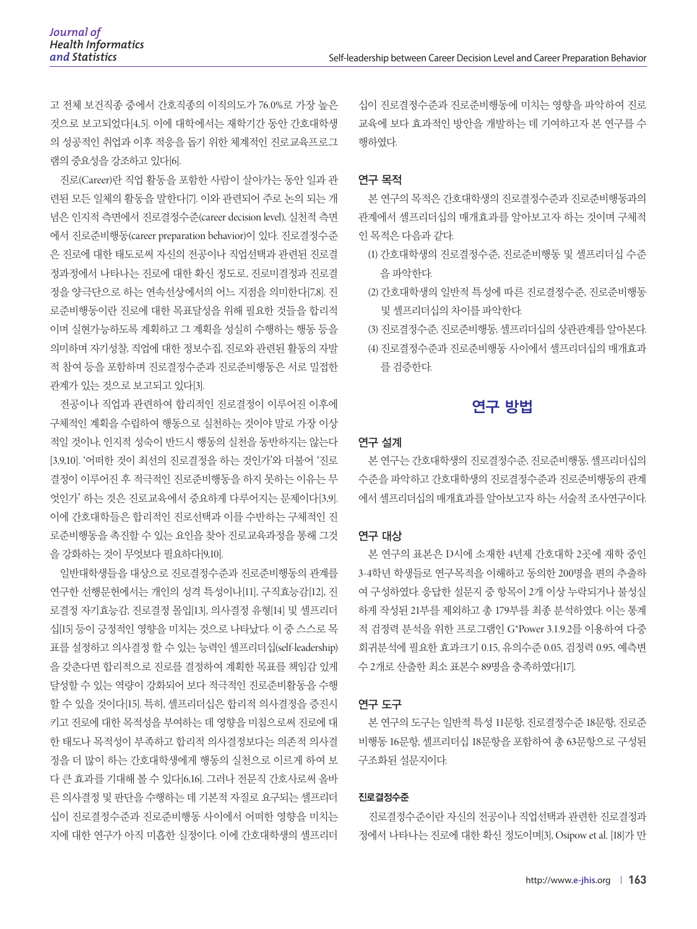고 전체 보건직종 중에서 간호직종의 이직의도가 76.0%로 가장 높은 것으로 보고되었다[4,5]. 이에 대학에서는 재학기간 동안 간호대학생 의 성공적인 취업과 이후 적응을 돕기 위한 체계적인 진로교육프로그 램의 중요성을 강조하고 있다[6].

진로(Career)란 직업 활동을 포함한 사람이 살아가는 동안 일과 관 련된 모든 일체의 활동을 말한다[7]. 이와 관련되어 주로 논의 되는 개 념은 인지적 측면에서 진로결정수준(career decision level), 실천적 측면 에서 진로준비행동(career preparation behavior)이 있다. 진로결정수준 은 진로에 대한 태도로써 자신의 전공이나 직업선택과 관련된 진로결 정과정에서 나타나는 진로에 대한 확신 정도로, 진로미결정과 진로결 정을 양극단으로 하는 연속선상에서의 어느 지점을 의미한다[7,8]. 진 로준비행동이란 진로에 대한 목표달성을 위해 필요한 것들을 합리적 이며 실현가능하도록 계획하고 그 계획을 성실히 수행하는 행동 등을 의미하며 자기성찰, 직업에 대한 정보수집, 진로와 관련된 활동의 자발 적 참여 등을 포함하며 진로결정수준과 진로준비행동은 서로 밀접한 관계가 있는 것으로 보고되고 있다[3].

전공이나 직업과 관련하여 합리적인 진로결정이 이루어진 이후에 구체적인 계획을 수립하여 행동으로 실천하는 것이야 말로 가장 이상 적일 것이나, 인지적 성숙이 반드시 행동의 실천을 동반하지는 않는다 [3,9,10]. '어떠한 것이 최선의 진로결정을 하는 것인가'와 더불어 '진로 결정이 이루어진 후 적극적인 진로준비행동을 하지 못하는 이유는 무 엇인가' 하는 것은 진로교육에서 중요하게 다루어지는 문제이다[3,9]. 이에 간호대학들은 합리적인 진로선택과 이를 수반하는 구체적인 진 로준비행동을 촉진할 수 있는 요인을 찾아 진로교육과정을 통해 그것 을 강화하는 것이 무엇보다 필요하다[9,10].

일반대학생들을 대상으로 진로결정수준과 진로준비행동의 관계를 연구한 선행문헌에서는 개인의 성격 특성이나[11], 구직효능감[12], 진 로결정 자기효능감, 진로결정 몰입[13], 의사결정 유형[14] 및 셀프리더 십[15] 등이 긍정적인 영향을 미치는 것으로 나타났다. 이 중 스스로 목 표를 설정하고 의사결정 할 수 있는 능력인 셀프리더십(self-leadership) 을 갖춘다면 합리적으로 진로를 결정하여 계획한 목표를 책임감 있게 달성할 수 있는 역량이 강화되어 보다 적극적인 진로준비활동을 수행 할 수 있을 것이다[15]. 특히, 셀프리더십은 합리적 의사결정을 증진시 키고 진로에 대한 목적성을 부여하는 데 영향을 미침으로써 진로에 대 한 태도나 목적성이 부족하고 합리적 의사결정보다는 의존적 의사결 정을 더 많이 하는 간호대학생에게 행동의 실천으로 이르게 하여 보 다 큰 효과를 기대해 볼 수 있다[6,16]. 그러나 전문직 간호사로써 올바 른 의사결정 및 판단을 수행하는 데 기본적 자질로 요구되는 셀프리더 십이 진로결정수준과 진로준비행동 사이에서 어떠한 영향을 미치는 지에 대한 연구가 아직 미흡한 실정이다. 이에 간호대학생의 셀프리더 십이 진로결정수준과 진로준비행동에 미치는 영향을 파악하여 진로 교육에 보다 효과적인 방안을 개발하는 데 기여하고자 본 연구를 수 행하였다.

# 연구 목적

본 연구의 목적은 간호대학생의 진로결정수준과 진로준비행동과의 관계에서 셀프리더십의 매개효과를 알아보고자 하는 것이며 구체적 인 목적은 다음과 같다.

- (1) 간호대학생의 진로결정수준, 진로준비행동 및 셀프리더십 수준 을 파악한다.
- (2) 간호대학생의 일반적 특성에 따른 진로결정수준, 진로준비행동 및 셀프리더십의 차이를 파악한다.
- (3) 진로결정수준, 진로준비행동, 셀프리더십의 상관관계를 알아본다.
- (4) 진로결정수준과 진로준비행동 사이에서 셀프리더십의 매개효과 를 검증한다.

# 연구 방법

# 연구 설계

본 연구는 간호대학생의 진로결정수준, 진로준비행동, 셀프리더십의 수준을 파악하고 간호대학생의 진로결정수준과 진로준비행동의 관계 에서 셀프리더십의 매개효과를 알아보고자 하는 서술적 조사연구이다.

#### 연구 대상

본 연구의 표본은 D시에 소재한 4년제 간호대학 2곳에 재학 중인 3-4학년 학생들로 연구목적을 이해하고 동의한 200명을 편의 추출하 여 구성하였다. 응답한 설문지 중 항목이 2개 이상 누락되거나 불성실 하게 작성된 21부를 제외하고 총 179부를 최종 분석하였다. 이는 통계 적 검정력 분석을 위한 프로그램인 G\*Power 3.1.9.2를 이용하여 다중 회귀분석에 필요한 효과크기 0.15, 유의수준 0.05, 검정력 0.95, 예측변 수 2개로 산출한 최소 표본수 89명을 충족하였다[17].

#### 연구 도구

본 연구의 도구는 일반적 특성 11문항, 진로결정수준 18문항, 진로준 비행동 16문항, 셀프리더십 18문항을 포함하여 총 63문항으로 구성된 구조화된 설문지이다.

#### 진로결정수준

진로결정수준이란 자신의 전공이나 직업선택과 관련한 진로결정과 정에서 나타나는 진로에 대한 확신 정도이며[3], Osipow et al. [18]가 만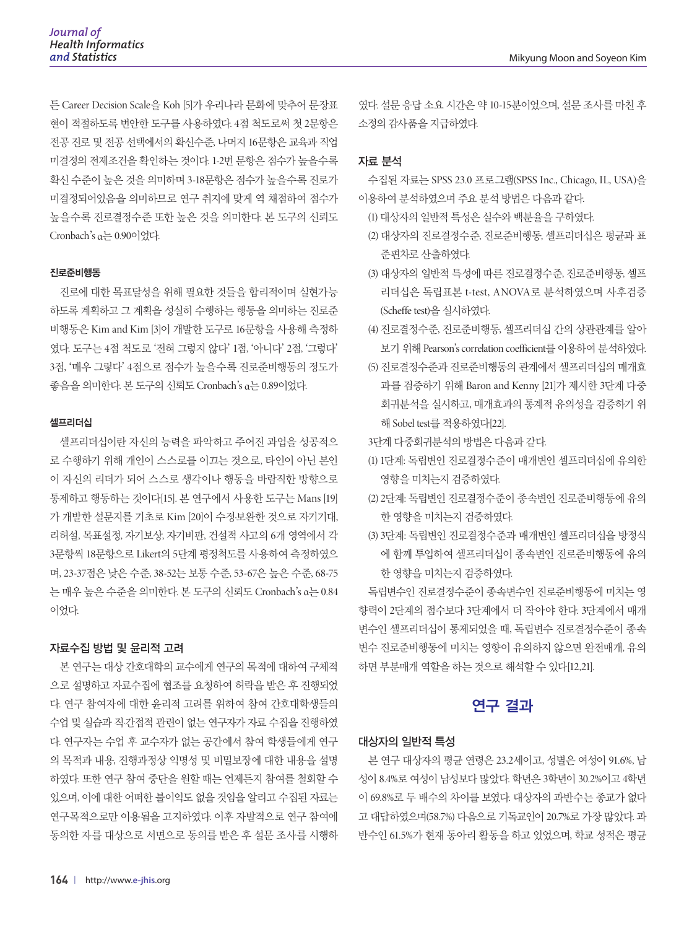든 Career Decision Scale을 Koh [5]가 우리나라 문화에 맞추어 문장표 현이 적절하도록 번안한 도구를 사용하였다. 4점 척도로써 첫 2문항은 전공 진로 및 전공 선택에서의 확신수준, 나머지 16문항은 교육과 직업 미결정의 전제조건을 확인하는 것이다. 1-2번 문항은 점수가 높을수록 확신 수준이 높은 것을 의미하며 3-18문항은 점수가 높을수록 진로가 미결정되어있음을 의미하므로 연구 취지에 맞게 역 채점하여 점수가 높을수록 진로결정수준 또한 높은 것을 의미한다. 본 도구의 신뢰도 Cronbach's α는 0.90이었다.

#### 진로준비행동

진로에 대한 목표달성을 위해 필요한 것들을 합리적이며 실현가능 하도록 계획하고 그 계획을 성실히 수행하는 행동을 의미하는 진로준 비행동은 Kim and Kim [3]이 개발한 도구로 16문항을 사용해 측정하 였다. 도구는 4점 척도로 '전혀 그렇지 않다' 1점, '아니다' 2점, '그렇다' 3점, '매우 그렇다' 4점으로 점수가 높을수록 진로준비행동의 정도가 좋음을 의미한다. 본 도구의 신뢰도 Cronbach's α는 0.89이었다.

#### 셀프리더십

셀프리더십이란 자신의 능력을 파악하고 주어진 과업을 성공적으 로 수행하기 위해 개인이 스스로를 이끄는 것으로, 타인이 아닌 본인 이 자신의 리더가 되어 스스로 생각이나 행동을 바람직한 방향으로 통제하고 행동하는 것이다[15]. 본 연구에서 사용한 도구는 Mans [19] 가 개발한 설문지를 기초로 Kim [20]이 수정·보완한 것으로 자기기대, 리허설, 목표설정, 자기보상, 자기비판, 건설적 사고의 6개 영역에서 각 3문항씩 18문항으로 Likert의 5단계 평정척도를 사용하여 측정하였으 며, 23-37점은 낮은 수준, 38-52는 보통 수준, 53-67은 높은 수준, 68-75 는 매우 높은 수준을 의미한다. 본 도구의 신뢰도 Cronbach's α는 0.84 이었다.

#### 자료수집 방법 및 윤리적 고려

본 연구는 대상 간호대학의 교수에게 연구의 목적에 대하여 구체적 으로 설명하고 자료수집에 협조를 요청하여 허락을 받은 후 진행되었 다. 연구 참여자에 대한 윤리적 고려를 위하여 참여 간호대학생들의 수업 및 실습과 직·간접적 관련이 없는 연구자가 자료 수집을 진행하였 다. 연구자는 수업 후 교수자가 없는 공간에서 참여 학생들에게 연구 의 목적과 내용, 진행과정상 익명성 및 비밀보장에 대한 내용을 설명 하였다. 또한 연구 참여 중단을 원할 때는 언제든지 참여를 철회할 수 있으며, 이에 대한 어떠한 불이익도 없을 것임을 알리고 수집된 자료는 연구목적으로만 이용됨을 고지하였다. 이후 자발적으로 연구 참여에 동의한 자를 대상으로 서면으로 동의를 받은 후 설문 조사를 시행하 였다. 설문 응답 소요 시간은 약 10-15분이었으며, 설문 조사를 마친 후 소정의 감사품을 지급하였다.

#### 자료 분석

수집된 자료는 SPSS 23.0 프로그램(SPSS Inc., Chicago, IL, USA)을 이용하여 분석하였으며 주요 분석 방법은 다음과 같다.

- (1) 대상자의 일반적 특성은 실수와 백분율을 구하였다.
- (2) 대상자의 진로결정수준, 진로준비행동, 셀프리더십은 평균과 표 준편차로 산출하였다.
- (3) 대상자의 일반적 특성에 따른 진로결정수준, 진로준비행동, 셀프 리더십은 독립표본 t-test, ANOVA로 분석하였으며 사후검증 (Scheffe test)을 실시하였다.
- (4) 진로결정수준, 진로준비행동, 셀프리더십 간의 상관관계를 알아 보기 위해 Pearson's correlation coefficient를 이용하여 분석하였다.
- (5) 진로결정수준과 진로준비행동의 관계에서 셀프리더십의 매개효 과를 검증하기 위해 Baron and Kenny [21]가 제시한 3단계 다중 회귀분석을 실시하고, 매개효과의 통계적 유의성을 검증하기 위 해 Sobel test를 적용하였다[22].
- 3단계 다중회귀분석의 방법은 다음과 같다.
- (1) 1단계: 독립변인 진로결정수준이 매개변인 셀프리더십에 유의한 영향을 미치는지 검증하였다.
- (2) 2단계: 독립변인 진로결정수준이 종속변인 진로준비행동에 유의 한 영향을 미치는지 검증하였다.
- (3) 3단계: 독립변인 진로결정수준과 매개변인 셀프리더십을 방정식 에 함께 투입하여 셀프리더십이 종속변인 진로준비행동에 유의 한 영향을 미치는지 검증하였다.

독립변수인 진로결정수준이 종속변수인 진로준비행동에 미치는 영 향력이 2단계의 점수보다 3단계에서 더 작아야 한다. 3단계에서 매개 변수인 셀프리더십이 통제되었을 때, 독립변수 진로결정수준이 종속 변수 진로준비행동에 미치는 영향이 유의하지 않으면 완전매개, 유의 하면 부분매개 역할을 하는 것으로 해석할 수 있다[12,21].

# 연구 결과

#### 대상자의 일반적 특성

본 연구 대상자의 평균 연령은 23.2세이고, 성별은 여성이 91.6%, 남 성이 8.4%로 여성이 남성보다 많았다. 학년은 3학년이 30.2%이고 4학년 이 69.8%로 두 배수의 차이를 보였다. 대상자의 과반수는 종교가 없다 고 대답하였으며(58.7%) 다음으로 기독교인이 20.7%로 가장 많았다. 과 반수인 61.5%가 현재 동아리 활동을 하고 있었으며, 학교 성적은 평균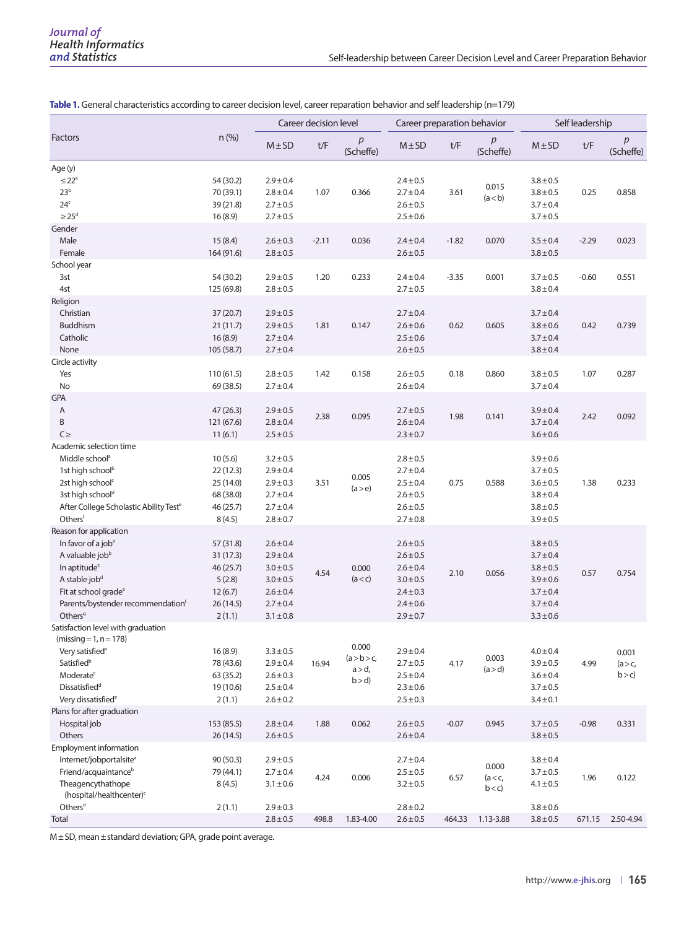|                                                                                                                                                                                                                                                  | $n$ (%)                                                                         | Career decision level                                                                                               |         | Career preparation behavior                |                                                                                                                     |         | Self leadership           |                                                                                                                     |         |                           |
|--------------------------------------------------------------------------------------------------------------------------------------------------------------------------------------------------------------------------------------------------|---------------------------------------------------------------------------------|---------------------------------------------------------------------------------------------------------------------|---------|--------------------------------------------|---------------------------------------------------------------------------------------------------------------------|---------|---------------------------|---------------------------------------------------------------------------------------------------------------------|---------|---------------------------|
| Factors                                                                                                                                                                                                                                          |                                                                                 | $M \pm SD$                                                                                                          | t/F     | p<br>(Scheffe)                             | $M \pm SD$                                                                                                          | t/F     | р<br>(Scheffe)            | $M \pm SD$                                                                                                          | t/F     | р<br>(Scheffe)            |
| Age (y)<br>$\leq 22^a$<br>23 <sup>b</sup><br>24 <sup>c</sup><br>$\geq$ 25 <sup>d</sup>                                                                                                                                                           | 54 (30.2)<br>70 (39.1)<br>39 (21.8)<br>16(8.9)                                  | $2.9 \pm 0.4$<br>$2.8 \pm 0.4$<br>$2.7 \pm 0.5$<br>$2.7 \pm 0.5$                                                    | 1.07    | 0.366                                      | $2.4 \pm 0.5$<br>$2.7 \pm 0.4$<br>$2.6 \pm 0.5$<br>$2.5 \pm 0.6$                                                    | 3.61    | 0.015<br>(a < b)          | $3.8 \pm 0.5$<br>$3.8 + 0.5$<br>$3.7 \pm 0.4$<br>$3.7 \pm 0.5$                                                      | 0.25    | 0.858                     |
| Gender<br>Male<br>Female                                                                                                                                                                                                                         | 15(8.4)<br>164 (91.6)                                                           | $2.6 \pm 0.3$<br>$2.8 \pm 0.5$                                                                                      | $-2.11$ | 0.036                                      | $2.4 \pm 0.4$<br>$2.6 \pm 0.5$                                                                                      | $-1.82$ | 0.070                     | $3.5 \pm 0.4$<br>$3.8 \pm 0.5$                                                                                      | $-2.29$ | 0.023                     |
| School year<br>3st<br>4st                                                                                                                                                                                                                        | 54 (30.2)<br>125 (69.8)                                                         | $2.9 \pm 0.5$<br>$2.8 \pm 0.5$                                                                                      | 1.20    | 0.233                                      | $2.4 \pm 0.4$<br>$2.7 \pm 0.5$                                                                                      | $-3.35$ | 0.001                     | $3.7 \pm 0.5$<br>$3.8 \pm 0.4$                                                                                      | $-0.60$ | 0.551                     |
| Religion<br>Christian<br>Buddhism<br>Catholic<br>None                                                                                                                                                                                            | 37 (20.7)<br>21(11.7)<br>16(8.9)<br>105 (58.7)                                  | $2.9 \pm 0.5$<br>$2.9 \pm 0.5$<br>$2.7 \pm 0.4$<br>$2.7 \pm 0.4$                                                    | 1.81    | 0.147                                      | $2.7 \pm 0.4$<br>$2.6 \pm 0.6$<br>$2.5 \pm 0.6$<br>$2.6 \pm 0.5$                                                    | 0.62    | 0.605                     | $3.7 \pm 0.4$<br>$3.8 \pm 0.6$<br>$3.7 \pm 0.4$<br>$3.8 \pm 0.4$                                                    | 0.42    | 0.739                     |
| Circle activity<br>Yes<br>No                                                                                                                                                                                                                     | 110 (61.5)<br>69 (38.5)                                                         | $2.8 \pm 0.5$<br>$2.7 \pm 0.4$                                                                                      | 1.42    | 0.158                                      | $2.6 \pm 0.5$<br>$2.6 \pm 0.4$                                                                                      | 0.18    | 0.860                     | $3.8 + 0.5$<br>$3.7 \pm 0.4$                                                                                        | 1.07    | 0.287                     |
| <b>GPA</b><br>Α<br>B<br>$C \geq$                                                                                                                                                                                                                 | 47 (26.3)<br>121 (67.6)<br>11(6.1)                                              | $2.9 \pm 0.5$<br>$2.8 \pm 0.4$<br>$2.5 \pm 0.5$                                                                     | 2.38    | 0.095                                      | $2.7 \pm 0.5$<br>$2.6 \pm 0.4$<br>$2.3 \pm 0.7$                                                                     | 1.98    | 0.141                     | $3.9 \pm 0.4$<br>$3.7 \pm 0.4$<br>$3.6 \pm 0.6$                                                                     | 2.42    | 0.092                     |
| Academic selection time<br>Middle school <sup>a</sup><br>1st high school <sup>b</sup><br>2st high school <sup>c</sup><br>3st high school <sup>d</sup><br>After College Scholastic Ability Test <sup>e</sup><br>Othersf                           | 10(5.6)<br>22(12.3)<br>25 (14.0)<br>68 (38.0)<br>46 (25.7)<br>8(4.5)            | $3.2 \pm 0.5$<br>$2.9 \pm 0.4$<br>$2.9 \pm 0.3$<br>$2.7 \pm 0.4$<br>$2.7 \pm 0.4$<br>$2.8 \pm 0.7$                  | 3.51    | 0.005<br>(a > e)                           | $2.8 \pm 0.5$<br>$2.7 \pm 0.4$<br>$2.5 \pm 0.4$<br>$2.6 \pm 0.5$<br>$2.6 \pm 0.5$<br>$2.7 \pm 0.8$                  | 0.75    | 0.588                     | $3.9 \pm 0.6$<br>$3.7 \pm 0.5$<br>$3.6 \pm 0.5$<br>$3.8 \pm 0.4$<br>$3.8 \pm 0.5$<br>$3.9 \pm 0.5$                  | 1.38    | 0.233                     |
| Reason for application<br>In favor of a job <sup>a</sup><br>A valuable jobb<br>In aptitude <sup>c</sup><br>A stable job <sup>d</sup><br>Fit at school grade <sup>e</sup><br>Parents/bystender recommendation <sup>f</sup><br>Others <sup>9</sup> | 57 (31.8)<br>31 (17.3)<br>46 (25.7)<br>5(2.8)<br>12(6.7)<br>26 (14.5)<br>2(1.1) | $2.6 \pm 0.4$<br>$2.9 \pm 0.4$<br>$3.0 \pm 0.5$<br>$3.0 \pm 0.5$<br>$2.6 \pm 0.4$<br>$2.7 \pm 0.4$<br>$3.1 \pm 0.8$ | 4.54    | 0.000<br>(a < c)                           | $2.6 \pm 0.5$<br>$2.6 \pm 0.5$<br>$2.6 \pm 0.4$<br>$3.0 \pm 0.5$<br>$2.4 \pm 0.3$<br>$2.4 \pm 0.6$<br>$2.9 \pm 0.7$ | 2.10    | 0.056                     | $3.8 \pm 0.5$<br>$3.7 \pm 0.4$<br>$3.8 \pm 0.5$<br>$3.9 \pm 0.6$<br>$3.7 \pm 0.4$<br>$3.7 \pm 0.4$<br>$3.3 \pm 0.6$ | 0.57    | 0.754                     |
| Satisfaction level with graduation<br>$(missing = 1, n = 178)$<br>Very satisfied <sup>a</sup><br>Satisfied <sup>b</sup><br>Moderate <sup>c</sup><br>Dissatisfied <sup>d</sup><br>Very dissatisfied <sup>e</sup>                                  | 16(8.9)<br>78 (43.6)<br>63 (35.2)<br>19 (10.6)<br>2(1.1)                        | $3.3 \pm 0.5$<br>$2.9 \pm 0.4$<br>$2.6 \pm 0.3$<br>$2.5 \pm 0.4$<br>$2.6 \pm 0.2$                                   | 16.94   | 0.000<br>(a > b > c,<br>$a > d$ ,<br>b > d | $2.9 \pm 0.4$<br>$2.7 \pm 0.5$<br>$2.5 \pm 0.4$<br>$2.3 \pm 0.6$<br>$2.5 \pm 0.3$                                   | 4.17    | 0.003<br>(a > d)          | $4.0 \pm 0.4$<br>$3.9 \pm 0.5$<br>$3.6 \pm 0.4$<br>$3.7 \pm 0.5$<br>$3.4 \pm 0.1$                                   | 4.99    | 0.001<br>(a > c)<br>b > c |
| Plans for after graduation<br>Hospital job<br>Others                                                                                                                                                                                             | 153 (85.5)<br>26 (14.5)                                                         | $2.8 \pm 0.4$<br>$2.6 \pm 0.5$                                                                                      | 1.88    | 0.062                                      | $2.6 \pm 0.5$<br>$2.6 \pm 0.4$                                                                                      | $-0.07$ | 0.945                     | $3.7 \pm 0.5$<br>$3.8 \pm 0.5$                                                                                      | $-0.98$ | 0.331                     |
| Employment information<br>Internet/jobportalsite <sup>a</sup><br>Friend/acquaintance <sup>b</sup><br>Theagencythathope<br>(hospital/healthcenter) <sup>c</sup>                                                                                   | 90 (50.3)<br>79 (44.1)<br>8(4.5)                                                | $2.9 \pm 0.5$<br>$2.7 \pm 0.4$<br>$3.1 \pm 0.6$                                                                     | 4.24    | 0.006                                      | $2.7 \pm 0.4$<br>$2.5 \pm 0.5$<br>$3.2 \pm 0.5$                                                                     | 6.57    | 0.000<br>(a < c,<br>b < c | $3.8 \pm 0.4$<br>$3.7 \pm 0.5$<br>$4.1 \pm 0.5$                                                                     | 1.96    | 0.122                     |
| Others <sup>d</sup><br>Total                                                                                                                                                                                                                     | 2(1.1)                                                                          | $2.9 \pm 0.3$<br>$2.8 \pm 0.5$                                                                                      | 498.8   | 1.83-4.00                                  | $2.8 \pm 0.2$<br>$2.6 \pm 0.5$                                                                                      | 464.33  | 1.13-3.88                 | $3.8 \pm 0.6$<br>$3.8 \pm 0.5$                                                                                      | 671.15  | 2.50-4.94                 |

**Table 1.** General characteristics according to career decision level, career reparation behavior and self leadership (n=179)

M±SD, mean±standard deviation; GPA, grade point average.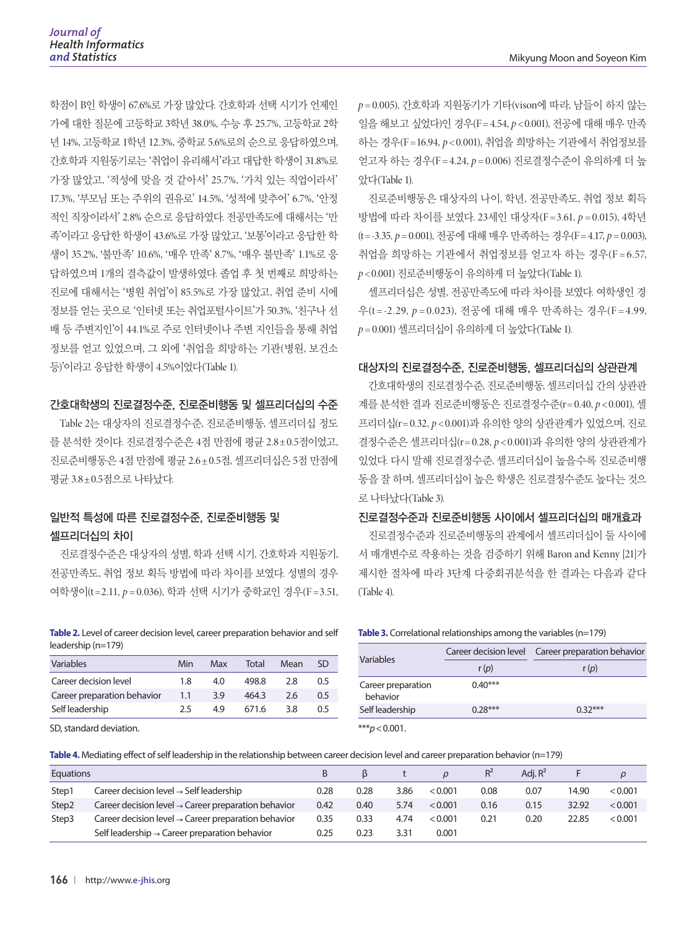학점이 B인 학생이 67.6%로 가장 많았다. 간호학과 선택 시기가 언제인 가에 대한 질문에 고등학교 3학년 38.0%, 수능 후 25.7%, 고등학교 2학 년 14%, 고등학교 1학년 12.3%, 중학교 5.6%로의 순으로 응답하였으며, 간호학과 지원동기로는 '취업이 유리해서'라고 대답한 학생이 31.8%로 가장 많았고, '적성에 맞을 것 같아서' 25.7%, '가치 있는 직업이라서' 17.3%, '부모님 또는 주위의 권유로' 14.5%, '성적에 맞추어' 6.7%, '안정 적인 직장이라서' 2.8% 순으로 응답하였다. 전공만족도에 대해서는 '만 족'이라고 응답한 학생이 43.6%로 가장 많았고, '보통'이라고 응답한 학 생이 35.2%, '불만족' 10.6%, '매우 만족' 8.7%, '매우 불만족' 1.1%로 응 답하였으며 1개의 결측값이 발생하였다. 졸업 후 첫 번째로 희망하는 진로에 대해서는 '병원 취업'이 85.5%로 가장 많았고, 취업 준비 시에 정보를 얻는 곳으로 '인터넷 또는 취업포털사이트'가 50.3%, '친구나 선 배 등 주변지인'이 44.1%로 주로 인터넷이나 주변 지인들을 통해 취업 정보를 얻고 있었으며, 그 외에 '취업을 희망하는 기관(병원, 보건소 등)'이라고 응답한 학생이 4.5%이었다(Table 1).

#### 간호대학생의 진로결정수준, 진로준비행동 및 셀프리더십의 수준

Table 2는 대상자의 진로결정수준, 진로준비행동, 셀프리더십 정도 를 분석한 것이다. 진로결정수준은 4점 만점에 평균 2.8±0.5점이었고, 진로준비행동은 4점 만점에 평균 2.6±0.5점, 셀프리더십은 5점 만점에 평균 3.8±0.5점으로 나타났다.

# 일반적 특성에 따른 진로결정수준, 진로준비행동 및 셀프리더십의 차이

진로결정수준은 대상자의 성별, 학과 선택 시기, 간호학과 지원동기, 전공만족도, 취업 정보 획득 방법에 따라 차이를 보였다. 성별의 경우 여학생이(t =2.11, *p* = 0.036), 학과 선택 시기가 중학교인 경우(F =3.51,

**Table 2.** Level of career decision level, career preparation behavior and self leadership (n=179)

| Variables                   | Min | Max | Total | Mean | SD  |
|-----------------------------|-----|-----|-------|------|-----|
| Career decision level       | 1.8 | 4.0 | 498.8 | 2.8  | 0.5 |
| Career preparation behavior | 1.1 | 3.9 | 464.3 | 2.6  | 0.5 |
| Self leadership             | つち  | 4.9 | 671.6 | 3.8  | 0.5 |

SD, standard deviation.

*p* = 0.005), 간호학과 지원동기가 기타(vison에 따라, 남들이 하지 않는 일을 해보고 싶었다)인 경우(F = 4.54, *p* < 0.001), 전공에 대해 매우 만족 하는 경우(F =16.94, *p* < 0.001), 취업을 희망하는 기관에서 취업정보를 얻고자 하는 경우(F = 4.24, *p* = 0.006) 진로결정수준이 유의하게 더 높 았다(Table 1).

진로준비행동은 대상자의 나이, 학년, 전공만족도, 취업 정보 획득 방법에 따라 차이를 보였다. 23세인 대상자(F =3.61, *p* = 0.015), 4학년 (t= -3.35, *p* = 0.001), 전공에 대해 매우 만족하는 경우(F = 4.17, *p* = 0.003), 취업을 희망하는 기관에서 취업정보를 얻고자 하는 경우(F = 6.57, *p* < 0.001) 진로준비행동이 유의하게 더 높았다(Table 1).

셀프리더십은 성별, 전공만족도에 따라 차이를 보였다. 여학생인 경 우(t = -2.29, *p* = 0.023), 전공에 대해 매우 만족하는 경우(F = 4.99, *p* = 0.001) 셀프리더십이 유의하게 더 높았다(Table 1).

#### 대상자의 진로결정수준, 진로준비행동, 셀프리더십의 상관관계

간호대학생의 진로결정수준, 진로준비행동, 셀프리더십 간의 상관관 계를 분석한 결과 진로준비행동은 진로결정수준(r= 0.40, *p* < 0.001), 셀 프리더십(r= 0.32, *p* < 0.001)과 유의한 양의 상관관계가 있었으며, 진로 결정수준은 셀프리더십(r= 0.28, *p* < 0.001)과 유의한 양의 상관관계가 있었다. 다시 말해 진로결정수준, 셀프리더십이 높을수록 진로준비행 동을 잘 하며, 셀프리더십이 높은 학생은 진로결정수준도 높다는 것으 로 나타났다(Table 3).

#### 진로결정수준과 진로준비행동 사이에서 셀프리더십의 매개효과

진로결정수준과 진로준비행동의 관계에서 셀프리더십이 둘 사이에 서 매개변수로 작용하는 것을 검증하기 위해 Baron and Kenny [21]가 제시한 절차에 따라 3단계 다중회귀분석을 한 결과는 다음과 같다 (Table 4).

**Table 3.** Correlational relationships among the variables (n=179)

| Variables                                               |           | Career decision level Career preparation behavior<br>r(p) |  |  |  |  |
|---------------------------------------------------------|-----------|-----------------------------------------------------------|--|--|--|--|
|                                                         | r(p)      |                                                           |  |  |  |  |
| Career preparation<br>behavior                          | $0.40***$ |                                                           |  |  |  |  |
| Self leadership                                         | $0.28***$ | $0.32***$                                                 |  |  |  |  |
| $\mathbf{v} \cdot \mathbf{v}$ $\mathbf{v}$ $\mathbf{v}$ |           |                                                           |  |  |  |  |

\*\*\**p*<0.001.

**Table 4.** Mediating effect of self leadership in the relationship between career decision level and career preparation behavior (n=179)

| Equations         |                                                                 | В    |      |      |         |      | Adi, $R^2$ |       |         |
|-------------------|-----------------------------------------------------------------|------|------|------|---------|------|------------|-------|---------|
| Step1             | Career decision level $\rightarrow$ Self leadership             | 0.28 | 0.28 | 3.86 | < 0.001 | 0.08 | 0.07       | 14.90 | < 0.001 |
| Step <sub>2</sub> | Career decision level $\rightarrow$ Career preparation behavior | 0.42 | 0.40 | 5.74 | < 0.001 | 0.16 | 0.15       | 32.92 | < 0.001 |
| Step3             | Career decision level $\rightarrow$ Career preparation behavior | 0.35 | 0.33 | 4.74 | < 0.001 | 0.21 | 0.20       | 22.85 | < 0.001 |
|                   | Self leadership $\rightarrow$ Career preparation behavior       | 0.25 | 0.23 | 3.31 | 0.001   |      |            |       |         |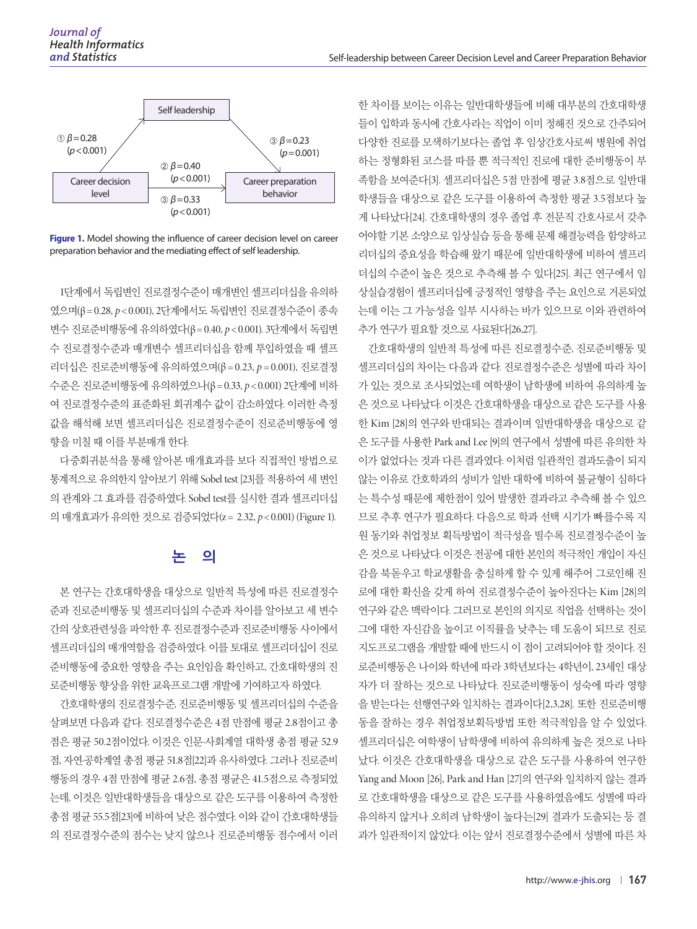

**Figure 1.** Model showing the influence of career decision level on career preparation behavior and the mediating effect of self leadership.

1단계에서 독립변인 진로결정수준이 매개변인 셀프리더십을 유의하 였으며(β= 0.28, *p* < 0.001), 2단계에서도 독립변인 진로결정수준이 종속 변수 진로준비행동에 유의하였다(β= 0.40, *p* < 0.001). 3단계에서 독립변 수 진로결정수준과 매개변수 셀프리더십을 함께 투입하였을 때 셀프 리더십은 진로준비행동에 유의하였으며(β = 0.23, *p* = 0.001), 진로결정 수준은 진로준비행동에 유의하였으나(β= 0.33, *p* < 0.001) 2단계에 비하 여 진로결정수준의 표준화된 회귀계수 값이 감소하였다. 이러한 측정 값을 해석해 보면 셀프리더십은 진로결정수준이 진로준비행동에 영 향을 미칠 때 이를 부분매개 한다.

다중회귀분석을 통해 알아본 매개효과를 보다 직접적인 방법으로 통계적으로 유의한지 알아보기 위해 Sobel test [23]를 적용하여 세 변인 의 관계와 그 효과를 검증하였다. Sobel test를 실시한 결과 셀프리더십 의 매개효과가 유의한 것으로 검증되었다(z = 2.32, *p* < 0.001) (Figure 1).

# 논 의

본 연구는 간호대학생을 대상으로 일반적 특성에 따른 진로결정수 준과 진로준비행동 및 셀프리더십의 수준과 차이를 알아보고 세 변수 간의 상호관련성을 파악한 후 진로결정수준과 진로준비행동 사이에서 셀프리더십의 매개역할을 검증하였다. 이를 토대로 셀프리더십이 진로 준비행동에 중요한 영향을 주는 요인임을 확인하고, 간호대학생의 진 로준비행동 향상을 위한 교육프로그램 개발에 기여하고자 하였다.

간호대학생의 진로결정수준, 진로준비행동 및 셀프리더십의 수준을 살펴보면 다음과 같다. 진로결정수준은 4점 만점에 평균 2.8점이고 총 점은 평균 50.2점이었다. 이것은 인문·사회계열 대학생 총점 평균 52.9 점, 자연·공학계열 총점 평균 51.8점[22]과 유사하였다. 그러나 진로준비 행동의 경우 4점 만점에 평균 2.6점, 총점 평균은 41.5점으로 측정되었 는데, 이것은 일반대학생들을 대상으로 같은 도구를 이용하여 측정한 총점 평균 55.5점[23]에 비하여 낮은 점수였다. 이와 같이 간호대학생들 의 진로결정수준의 점수는 낮지 않으나 진로준비행동 점수에서 이러 한 차이를 보이는 이유는 일반대학생들에 비해 대부분의 간호대학생 들이 입학과 동시에 간호사라는 직업이 이미 정해진 것으로 간주되어 다양한 진로를 모색하기보다는 졸업 후 임상간호사로써 병원에 취업 하는 정형화된 코스를 따를 뿐 적극적인 진로에 대한 준비행동이 부 족함을 보여준다[3]. 셀프리더십은 5점 만점에 평균 3.8점으로 일반대 학생들을 대상으로 같은 도구를 이용하여 측정한 평균 3.5점보다 높 게 나타났다[24]. 간호대학생의 경우 졸업 후 전문직 간호사로서 갖추 어야할 기본 소양으로 임상실습 등을 통해 문제 해결능력을 함양하고 리더십의 중요성을 학습해 왔기 때문에 일반대학생에 비하여 셀프리 더십의 수준이 높은 것으로 추측해 볼 수 있다[25]. 최근 연구에서 임 상실습경험이 셀프리더십에 긍정적인 영향을 주는 요인으로 거론되었 는데 이는 그 가능성을 일부 시사하는 바가 있으므로 이와 관련하여 추가 연구가 필요할 것으로 사료된다[26,27].

간호대학생의 일반적 특성에 따른 진로결정수준, 진로준비행동 및 셀프리더십의 차이는 다음과 같다. 진로결정수준은 성별에 따라 차이 가 있는 것으로 조사되었는데 여학생이 남학생에 비하여 유의하게 높 은 것으로 나타났다. 이것은 간호대학생을 대상으로 같은 도구를 사용 한 Kim [28]의 연구와 반대되는 결과이며 일반대학생을 대상으로 같 은 도구를 사용한 Park and Lee [9]의 연구에서 성별에 따른 유의한 차 이가 없었다는 것과 다른 결과였다. 이처럼 일관적인 결과도출이 되지 않는 이유로 간호학과의 성비가 일반 대학에 비하여 불균형이 심하다 는 특수성 때문에 제한점이 있어 발생한 결과라고 추측해 볼 수 있으 므로 추후 연구가 필요하다. 다음으로 학과 선택 시기가 빠를수록 지 원 동기와 취업정보 획득방법이 적극성을 띨수록 진로결정수준이 높 은 것으로 나타났다. 이것은 전공에 대한 본인의 적극적인 개입이 자신 감을 북돋우고 학교생활을 충실하게 할 수 있게 해주어 그로인해 진 로에 대한 확신을 갖게 하여 진로결정수준이 높아진다는 Kim [28]의 연구와 같은 맥락이다. 그러므로 본인의 의지로 직업을 선택하는 것이 그에 대한 자신감을 높이고 이직률을 낮추는 데 도움이 되므로 진로 지도프로그램을 개발할 때에 반드시 이 점이 고려되어야 할 것이다. 진 로준비행동은 나이와 학년에 따라 3학년보다는 4학년이, 23세인 대상 자가 더 잘하는 것으로 나타났다. 진로준비행동이 성숙에 따라 영향 을 받는다는 선행연구와 일치하는 결과이다[2,3,28]. 또한 진로준비행 동을 잘하는 경우 취업정보획득방법 또한 적극적임을 알 수 있었다. 셀프리더십은 여학생이 남학생에 비하여 유의하게 높은 것으로 나타 났다. 이것은 간호대학생을 대상으로 같은 도구를 사용하여 연구한 Yang and Moon [26], Park and Han [27]의 연구와 일치하지 않는 결과 로 간호대학생을 대상으로 같은 도구를 사용하였음에도 성별에 따라 유의하지 않거나 오히려 남학생이 높다는[29] 결과가 도출되는 등 결 과가 일관적이지 않았다. 이는 앞서 진로결정수준에서 성별에 따른 차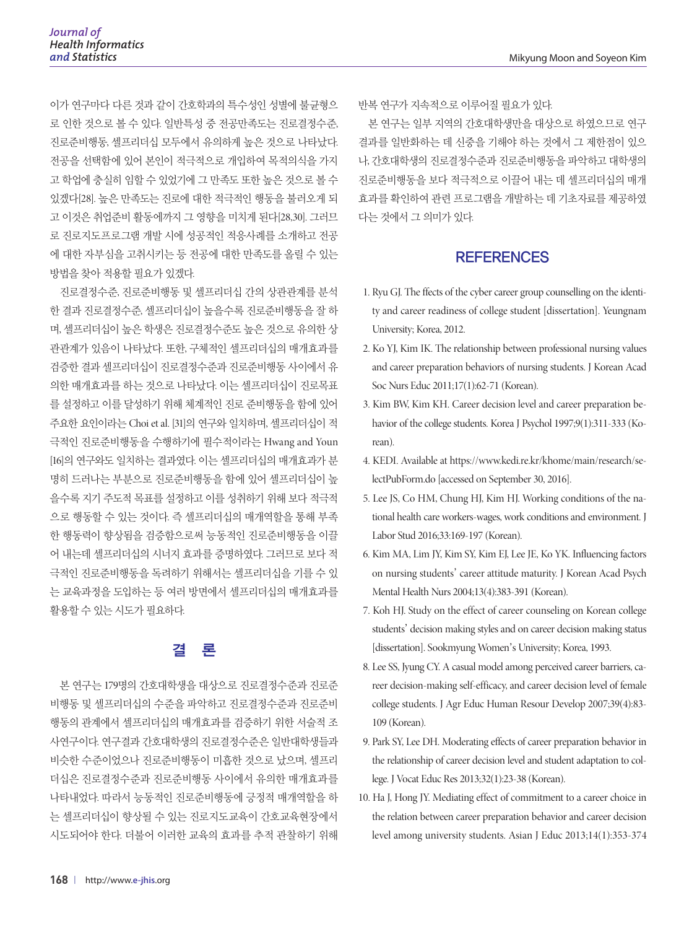이가 연구마다 다른 것과 같이 간호학과의 특수성인 성별에 불균형으 로 인한 것으로 볼 수 있다. 일반특성 중 전공만족도는 진로결정수준, 진로준비행동, 셀프리더십 모두에서 유의하게 높은 것으로 나타났다. 전공을 선택함에 있어 본인이 적극적으로 개입하여 목적의식을 가지 고 학업에 충실히 임할 수 있었기에 그 만족도 또한 높은 것으로 볼 수 있겠다[28]. 높은 만족도는 진로에 대한 적극적인 행동을 불러오게 되 고 이것은 취업준비 활동에까지 그 영향을 미치게 된다[28,30]. 그러므 로 진로지도프로그램 개발 시에 성공적인 적응사례를 소개하고 전공 에 대한 자부심을 고취시키는 등 전공에 대한 만족도를 올릴 수 있는 방법을 찾아 적용할 필요가 있겠다.

진로결정수준, 진로준비행동 및 셀프리더십 간의 상관관계를 분석 한 결과 진로결정수준, 셀프리더십이 높을수록 진로준비행동을 잘 하 며, 셀프리더십이 높은 학생은 진로결정수준도 높은 것으로 유의한 상 관관계가 있음이 나타났다. 또한, 구체적인 셀프리더십의 매개효과를 검증한 결과 셀프리더십이 진로결정수준과 진로준비행동 사이에서 유 의한 매개효과를 하는 것으로 나타났다. 이는 셀프리더십이 진로목표 를 설정하고 이를 달성하기 위해 체계적인 진로 준비행동을 함에 있어 주요한 요인이라는 Choi et al. [31]의 연구와 일치하며, 셀프리더십이 적 극적인 진로준비행동을 수행하기에 필수적이라는 Hwang and Youn [16]의 연구와도 일치하는 결과였다. 이는 셀프리더십의 매개효과가 분 명히 드러나는 부분으로 진로준비행동을 함에 있어 셀프리더십이 높 을수록 지기 주도적 목표를 설정하고 이를 성취하기 위해 보다 적극적 으로 행동할 수 있는 것이다. 즉 셀프리더십의 매개역할을 통해 부족 한 행동력이 향상됨을 검증함으로써 능동적인 진로준비행동을 이끌 어 내는데 셀프리더십의 시너지 효과를 증명하였다. 그러므로 보다 적 극적인 진로준비행동을 독려하기 위해서는 셀프리더십을 기를 수 있 는 교육과정을 도입하는 등 여러 방면에서 셀프리더십의 매개효과를 활용할 수 있는 시도가 필요하다.

# 결 론

본 연구는 179명의 간호대학생을 대상으로 진로결정수준과 진로준 비행동 및 셀프리더십의 수준을 파악하고 진로결정수준과 진로준비 행동의 관계에서 셀프리더십의 매개효과를 검증하기 위한 서술적 조 사연구이다. 연구결과 간호대학생의 진로결정수준은 일반대학생들과 비슷한 수준이었으나 진로준비행동이 미흡한 것으로 났으며, 셀프리 더십은 진로결정수준과 진로준비행동 사이에서 유의한 매개효과를 나타내었다. 따라서 능동적인 진로준비행동에 긍정적 매개역할을 하 는 셀프리더십이 향상될 수 있는 진로지도교육이 간호교육현장에서 시도되어야 한다. 더불어 이러한 교육의 효과를 추적 관찰하기 위해 반복 연구가 지속적으로 이루어질 필요가 있다.

본 연구는 일부 지역의 간호대학생만을 대상으로 하였으므로 연구 결과를 일반화하는 데 신중을 기해야 하는 것에서 그 제한점이 있으 나, 간호대학생의 진로결정수준과 진로준비행동을 파악하고 대학생의 진로준비행동을 보다 적극적으로 이끌어 내는 데 셀프리더십의 매개 효과를 확인하여 관련 프로그램을 개발하는 데 기초자료를 제공하였 다는 것에서 그 의미가 있다.

# **REFERENCES**

- 1. Ryu GJ. The ffects of the cyber career group counselling on the identity and career readiness of college student [dissertation]. Yeungnam University; Korea, 2012.
- 2. Ko YJ, Kim IK. The relationship between professional nursing values and career preparation behaviors of nursing students. J Korean Acad Soc Nurs Educ 2011;17(1):62-71 (Korean).
- 3. Kim BW, Kim KH. Career decision level and career preparation behavior of the college students. Korea J Psychol 1997;9(1):311-333 (Korean).
- 4. KEDI. Available at https://www.kedi.re.kr/khome/main/research/selectPubForm.do [accessed on September 30, 2016].
- 5. Lee JS, Co HM, Chung HJ, Kim HJ. Working conditions of the national health care workers-wages, work conditions and environment. J Labor Stud 2016;33:169-197 (Korean).
- 6. Kim MA, Lim JY, Kim SY, Kim EJ, Lee JE, Ko YK. Influencing factors on nursing students' career attitude maturity. J Korean Acad Psych Mental Health Nurs 2004;13(4):383-391 (Korean).
- 7. Koh HJ. Study on the effect of career counseling on Korean college students' decision making styles and on career decision making status [dissertation]. Sookmyung Women's University; Korea, 1993.
- 8. Lee SS, Jyung CY. A casual model among perceived career barriers, career decision-making self-efficacy, and career decision level of female college students. J Agr Educ Human Resour Develop 2007;39(4):83- 109 (Korean).
- 9. Park SY, Lee DH. Moderating effects of career preparation behavior in the relationship of career decision level and student adaptation to college. J Vocat Educ Res 2013;32(1):23-38 (Korean).
- 10. Ha J, Hong JY. Mediating effect of commitment to a career choice in the relation between career preparation behavior and career decision level among university students. Asian J Educ 2013;14(1):353-374